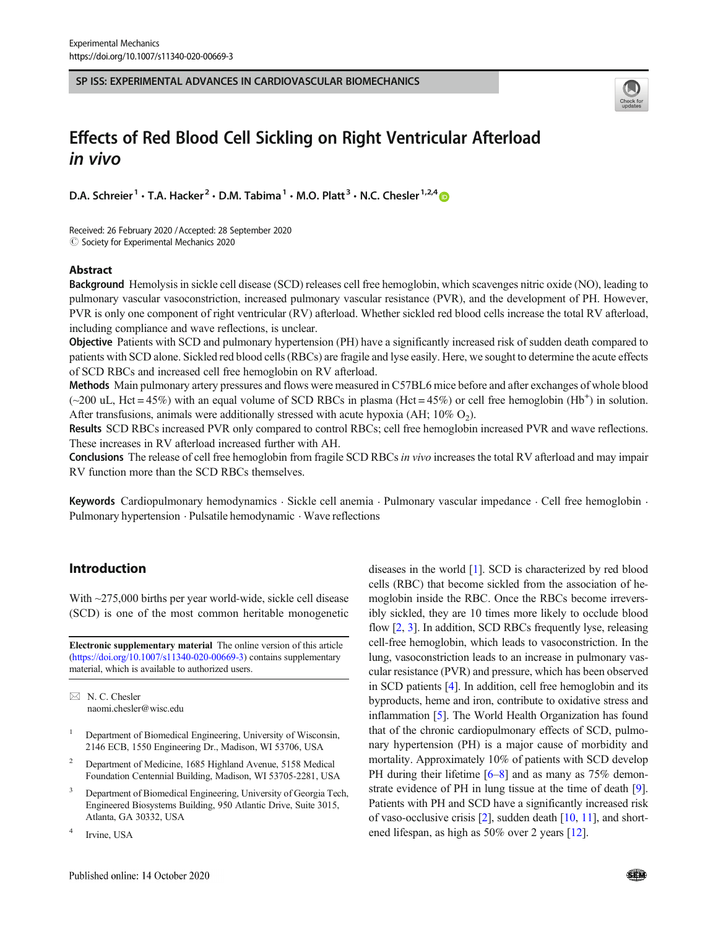SP ISS: EXPERIMENTAL ADVANCES IN CARDIOVASCULAR BIOMECHANICS



# Effects of Red Blood Cell Sickling on Right Ventricular Afterload in vivo

D.A. Schreier<sup>1</sup> • T.A. Hacker<sup>2</sup> • D.M. Tabima<sup>1</sup> • M.O. Platt<sup>3</sup> • N.C. Chesler<sup>1,2,4</sup>

Received: 26 February 2020 /Accepted: 28 September 2020  $\odot$  Society for Experimental Mechanics 2020

## Abstract

Background Hemolysis in sickle cell disease (SCD) releases cell free hemoglobin, which scavenges nitric oxide (NO), leading to pulmonary vascular vasoconstriction, increased pulmonary vascular resistance (PVR), and the development of PH. However, PVR is only one component of right ventricular (RV) afterload. Whether sickled red blood cells increase the total RV afterload, including compliance and wave reflections, is unclear.

Objective Patients with SCD and pulmonary hypertension (PH) have a significantly increased risk of sudden death compared to patients with SCD alone. Sickled red blood cells (RBCs) are fragile and lyse easily. Here, we sought to determine the acute effects of SCD RBCs and increased cell free hemoglobin on RV afterload.

Methods Main pulmonary artery pressures and flows were measured in C57BL6 mice before and after exchanges of whole blood  $(\sim 200 \text{ uL}, \text{ Hct} = 45\%)$  with an equal volume of SCD RBCs in plasma (Hct = 45%) or cell free hemoglobin (Hb<sup>+</sup>) in solution. After transfusions, animals were additionally stressed with acute hypoxia (AH;  $10\%$  O<sub>2</sub>).

Results SCD RBCs increased PVR only compared to control RBCs; cell free hemoglobin increased PVR and wave reflections. These increases in RV afterload increased further with AH.

Conclusions The release of cell free hemoglobin from fragile SCD RBCs in vivo increases the total RV afterload and may impair RV function more than the SCD RBCs themselves.

Keywords Cardiopulmonary hemodynamics . Sickle cell anemia . Pulmonary vascular impedance . Cell free hemoglobin . Pulmonary hypertension . Pulsatile hemodynamic . Wave reflections

## Introduction

With ~275,000 births per year world-wide, sickle cell disease (SCD) is one of the most common heritable monogenetic

Electronic supplementary material The online version of this article (https://doi.org/10.1007/s11340-020-00669-3) contains supplementary material, which is available to authorized users.

 $\boxtimes$  N. C. Chesler naomi.chesler@wisc.edu

- <sup>1</sup> Department of Biomedical Engineering, University of Wisconsin, 2146 ECB, 1550 Engineering Dr., Madison, WI 53706, USA
- <sup>2</sup> Department of Medicine, 1685 Highland Avenue, 5158 Medical Foundation Centennial Building, Madison, WI 53705-2281, USA
- <sup>3</sup> Department of Biomedical Engineering, University of Georgia Tech, Engineered Biosystems Building, 950 Atlantic Drive, Suite 3015, Atlanta, GA 30332, USA
- <sup>4</sup> Irvine, USA

diseases in the world [1]. SCD is characterized by red blood cells (RBC) that become sickled from the association of hemoglobin inside the RBC. Once the RBCs become irreversibly sickled, they are 10 times more likely to occlude blood flow [2, 3]. In addition, SCD RBCs frequently lyse, releasing cell-free hemoglobin, which leads to vasoconstriction. In the lung, vasoconstriction leads to an increase in pulmonary vascular resistance (PVR) and pressure, which has been observed in SCD patients [4]. In addition, cell free hemoglobin and its byproducts, heme and iron, contribute to oxidative stress and inflammation [5]. The World Health Organization has found that of the chronic cardiopulmonary effects of SCD, pulmonary hypertension (PH) is a major cause of morbidity and mortality. Approximately 10% of patients with SCD develop PH during their lifetime  $[6–8]$  and as many as 75% demonstrate evidence of PH in lung tissue at the time of death [9]. Patients with PH and SCD have a significantly increased risk of vaso-occlusive crisis [2], sudden death [10, 11], and shortened lifespan, as high as 50% over 2 years [12].

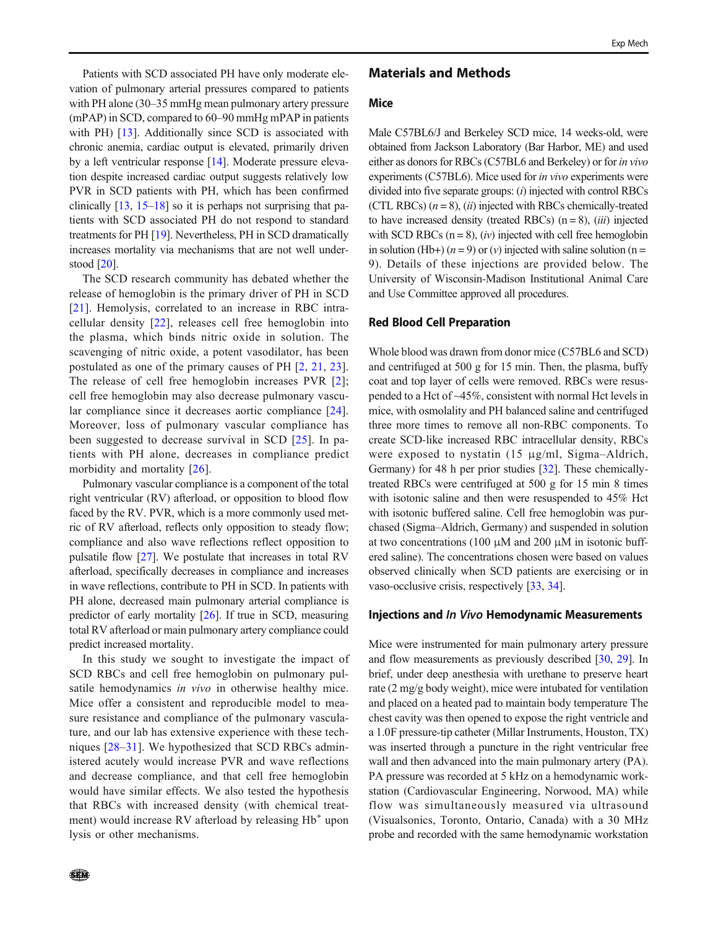Patients with SCD associated PH have only moderate elevation of pulmonary arterial pressures compared to patients with PH alone (30–35 mmHg mean pulmonary artery pressure (mPAP) in SCD, compared to 60–90 mmHg mPAP in patients with PH) [13]. Additionally since SCD is associated with chronic anemia, cardiac output is elevated, primarily driven by a left ventricular response [14]. Moderate pressure elevation despite increased cardiac output suggests relatively low PVR in SCD patients with PH, which has been confirmed clinically  $[13, 15-18]$  so it is perhaps not surprising that patients with SCD associated PH do not respond to standard treatments for PH [19]. Nevertheless, PH in SCD dramatically increases mortality via mechanisms that are not well understood [20].

The SCD research community has debated whether the release of hemoglobin is the primary driver of PH in SCD [21]. Hemolysis, correlated to an increase in RBC intracellular density [22], releases cell free hemoglobin into the plasma, which binds nitric oxide in solution. The scavenging of nitric oxide, a potent vasodilator, has been postulated as one of the primary causes of PH [2, 21, 23]. The release of cell free hemoglobin increases PVR [2]; cell free hemoglobin may also decrease pulmonary vascular compliance since it decreases aortic compliance [24]. Moreover, loss of pulmonary vascular compliance has been suggested to decrease survival in SCD [25]. In patients with PH alone, decreases in compliance predict morbidity and mortality [26].

Pulmonary vascular compliance is a component of the total right ventricular (RV) afterload, or opposition to blood flow faced by the RV. PVR, which is a more commonly used metric of RV afterload, reflects only opposition to steady flow; compliance and also wave reflections reflect opposition to pulsatile flow [27]. We postulate that increases in total RV afterload, specifically decreases in compliance and increases in wave reflections, contribute to PH in SCD. In patients with PH alone, decreased main pulmonary arterial compliance is predictor of early mortality [26]. If true in SCD, measuring total RV afterload or main pulmonary artery compliance could predict increased mortality.

In this study we sought to investigate the impact of SCD RBCs and cell free hemoglobin on pulmonary pulsatile hemodynamics in vivo in otherwise healthy mice. Mice offer a consistent and reproducible model to measure resistance and compliance of the pulmonary vasculature, and our lab has extensive experience with these techniques [28–31]. We hypothesized that SCD RBCs administered acutely would increase PVR and wave reflections and decrease compliance, and that cell free hemoglobin would have similar effects. We also tested the hypothesis that RBCs with increased density (with chemical treatment) would increase RV afterload by releasing  $Hb^+$  upon lysis or other mechanisms.

#### Materials and Methods

#### Mice

Male C57BL6/J and Berkeley SCD mice, 14 weeks-old, were obtained from Jackson Laboratory (Bar Harbor, ME) and used either as donors for RBCs (C57BL6 and Berkeley) or for in vivo experiments (C57BL6). Mice used for in vivo experiments were divided into five separate groups: (i) injected with control RBCs (CTL RBCs)  $(n = 8)$ ,  $(ii)$  injected with RBCs chemically-treated to have increased density (treated RBCs)  $(n = 8)$ ,  $(iii)$  injected with SCD RBCs  $(n = 8)$ ,  $(iv)$  injected with cell free hemoglobin in solution (Hb+)  $(n = 9)$  or  $(v)$  injected with saline solution  $(n = 1)$ 9). Details of these injections are provided below. The University of Wisconsin-Madison Institutional Animal Care and Use Committee approved all procedures.

#### Red Blood Cell Preparation

Whole blood was drawn from donor mice (C57BL6 and SCD) and centrifuged at 500 g for 15 min. Then, the plasma, buffy coat and top layer of cells were removed. RBCs were resuspended to a Hct of ~45%, consistent with normal Hct levels in mice, with osmolality and PH balanced saline and centrifuged three more times to remove all non-RBC components. To create SCD-like increased RBC intracellular density, RBCs were exposed to nystatin (15 μg/ml, Sigma–Aldrich, Germany) for 48 h per prior studies [32]. These chemicallytreated RBCs were centrifuged at 500 g for 15 min 8 times with isotonic saline and then were resuspended to 45% Hct with isotonic buffered saline. Cell free hemoglobin was purchased (Sigma–Aldrich, Germany) and suspended in solution at two concentrations (100 μM and 200 μM in isotonic buffered saline). The concentrations chosen were based on values observed clinically when SCD patients are exercising or in vaso-occlusive crisis, respectively [33, 34].

#### Injections and In Vivo Hemodynamic Measurements

Mice were instrumented for main pulmonary artery pressure and flow measurements as previously described [30, 29]. In brief, under deep anesthesia with urethane to preserve heart rate (2 mg/g body weight), mice were intubated for ventilation and placed on a heated pad to maintain body temperature The chest cavity was then opened to expose the right ventricle and a 1.0F pressure-tip catheter (Millar Instruments, Houston, TX) was inserted through a puncture in the right ventricular free wall and then advanced into the main pulmonary artery (PA). PA pressure was recorded at 5 kHz on a hemodynamic workstation (Cardiovascular Engineering, Norwood, MA) while flow was simultaneously measured via ultrasound (Visualsonics, Toronto, Ontario, Canada) with a 30 MHz probe and recorded with the same hemodynamic workstation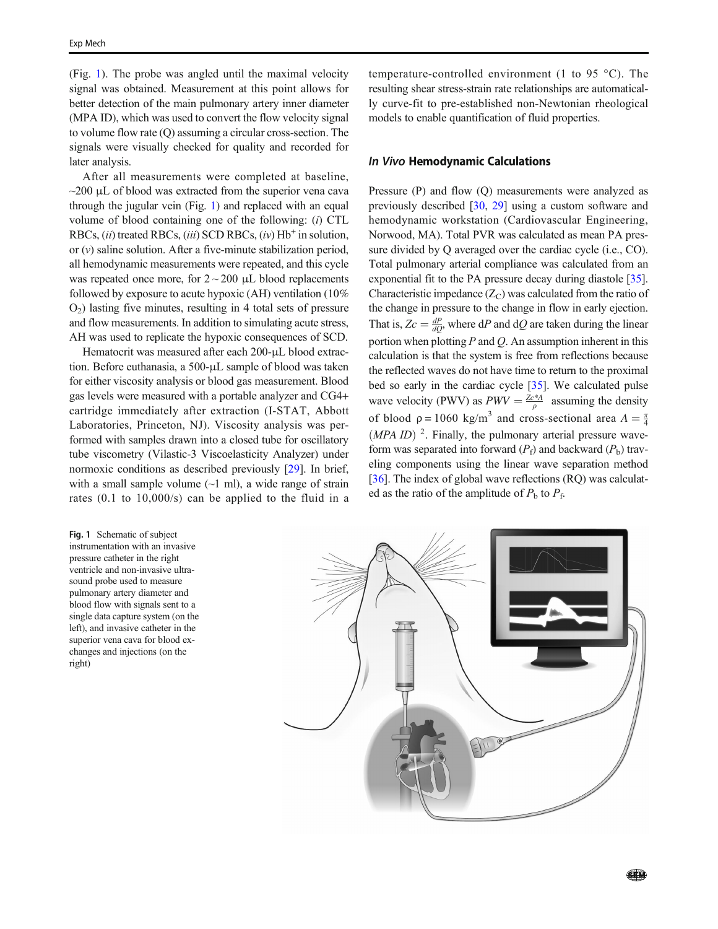(Fig. 1). The probe was angled until the maximal velocity signal was obtained. Measurement at this point allows for better detection of the main pulmonary artery inner diameter (MPA ID), which was used to convert the flow velocity signal to volume flow rate (Q) assuming a circular cross-section. The signals were visually checked for quality and recorded for later analysis.

After all measurements were completed at baseline,  $\sim$ 200 μL of blood was extracted from the superior vena cava through the jugular vein (Fig. 1) and replaced with an equal volume of blood containing one of the following: (i) CTL RBCs,  $(ii)$  treated RBCs,  $(iii)$  SCD RBCs,  $(iv)$  Hb<sup>+</sup> in solution, or  $(v)$  saline solution. After a five-minute stabilization period, all hemodynamic measurements were repeated, and this cycle was repeated once more, for  $2 \sim 200 \mu L$  blood replacements followed by exposure to acute hypoxic (AH) ventilation (10%  $O<sub>2</sub>$ ) lasting five minutes, resulting in 4 total sets of pressure and flow measurements. In addition to simulating acute stress, AH was used to replicate the hypoxic consequences of SCD.

Hematocrit was measured after each 200-μL blood extraction. Before euthanasia, a 500-μL sample of blood was taken for either viscosity analysis or blood gas measurement. Blood gas levels were measured with a portable analyzer and CG4+ cartridge immediately after extraction (I-STAT, Abbott Laboratories, Princeton, NJ). Viscosity analysis was performed with samples drawn into a closed tube for oscillatory tube viscometry (Vilastic-3 Viscoelasticity Analyzer) under normoxic conditions as described previously [29]. In brief, with a small sample volume  $(\sim 1 \text{ ml})$ , a wide range of strain rates (0.1 to 10,000/s) can be applied to the fluid in a

Fig. 1 Schematic of subject instrumentation with an invasive pressure catheter in the right ventricle and non-invasive ultrasound probe used to measure pulmonary artery diameter and blood flow with signals sent to a single data capture system (on the left), and invasive catheter in the superior vena cava for blood exchanges and injections (on the right)

temperature-controlled environment (1 to 95 °C). The resulting shear stress-strain rate relationships are automatically curve-fit to pre-established non-Newtonian rheological models to enable quantification of fluid properties.

## In Vivo Hemodynamic Calculations

Pressure (P) and flow (Q) measurements were analyzed as previously described [30, 29] using a custom software and hemodynamic workstation (Cardiovascular Engineering, Norwood, MA). Total PVR was calculated as mean PA pressure divided by Q averaged over the cardiac cycle (i.e., CO). Total pulmonary arterial compliance was calculated from an exponential fit to the PA pressure decay during diastole [35]. Characteristic impedance  $(Z_C)$  was calculated from the ratio of the change in pressure to the change in flow in early ejection. That is,  $Zc = \frac{dP}{dQ}$ , where dP and dQ are taken during the linear portion when plotting  $P$  and  $Q$ . An assumption inherent in this calculation is that the system is free from reflections because the reflected waves do not have time to return to the proximal bed so early in the cardiac cycle [35]. We calculated pulse wave velocity (PWV) as  $PWV = \frac{Ze^{*}A}{\rho}$  assuming the density of blood  $\rho = 1060 \text{ kg/m}^3$  and cross-sectional area  $A = \frac{\pi}{4}$  $(MPA ID)^2$ . Finally, the pulmonary arterial pressure waveform was separated into forward  $(P_f)$  and backward  $(P_b)$  traveling components using the linear wave separation method [ $36$ ]. The index of global wave reflections (RQ) was calculated as the ratio of the amplitude of  $P_b$  to  $P_f$ .

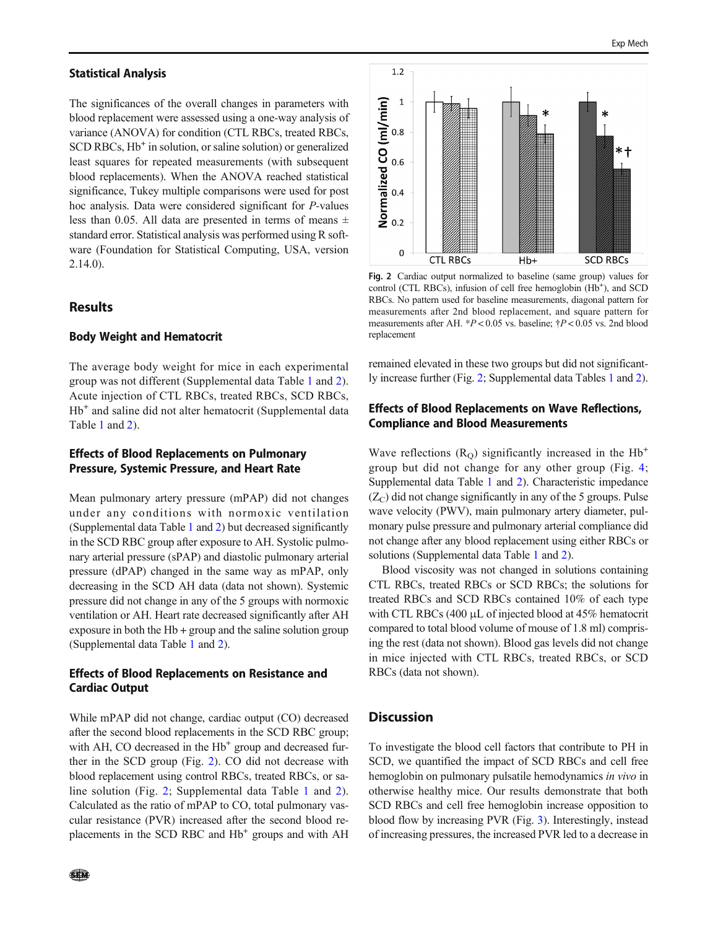#### Statistical Analysis

The significances of the overall changes in parameters with blood replacement were assessed using a one-way analysis of variance (ANOVA) for condition (CTL RBCs, treated RBCs, SCD RBCs, Hb<sup>+</sup> in solution, or saline solution) or generalized least squares for repeated measurements (with subsequent blood replacements). When the ANOVA reached statistical significance, Tukey multiple comparisons were used for post hoc analysis. Data were considered significant for P-values less than 0.05. All data are presented in terms of means  $\pm$ standard error. Statistical analysis was performed using R software (Foundation for Statistical Computing, USA, version 2.14.0).

## Results

#### Body Weight and Hematocrit

The average body weight for mice in each experimental group was not different (Supplemental data Table 1 and 2). Acute injection of CTL RBCs, treated RBCs, SCD RBCs, Hb<sup>+</sup> and saline did not alter hematocrit (Supplemental data Table 1 and 2).

## Effects of Blood Replacements on Pulmonary Pressure, Systemic Pressure, and Heart Rate

Mean pulmonary artery pressure (mPAP) did not changes under any conditions with normoxic ventilation (Supplemental data Table 1 and 2) but decreased significantly in the SCD RBC group after exposure to AH. Systolic pulmonary arterial pressure (sPAP) and diastolic pulmonary arterial pressure (dPAP) changed in the same way as mPAP, only decreasing in the SCD AH data (data not shown). Systemic pressure did not change in any of the 5 groups with normoxic ventilation or AH. Heart rate decreased significantly after AH exposure in both the Hb + group and the saline solution group (Supplemental data Table 1 and 2).

## Effects of Blood Replacements on Resistance and Cardiac Output

While mPAP did not change, cardiac output (CO) decreased after the second blood replacements in the SCD RBC group; with AH, CO decreased in the Hb<sup>+</sup> group and decreased further in the SCD group (Fig. 2). CO did not decrease with blood replacement using control RBCs, treated RBCs, or saline solution (Fig. 2; Supplemental data Table 1 and 2). Calculated as the ratio of mPAP to CO, total pulmonary vascular resistance (PVR) increased after the second blood replacements in the SCD RBC and  $Hb<sup>+</sup>$  groups and with AH



Fig. 2 Cardiac output normalized to baseline (same group) values for control (CTL RBCs), infusion of cell free hemoglobin (Hb<sup>+</sup>), and SCD RBCs. No pattern used for baseline measurements, diagonal pattern for measurements after 2nd blood replacement, and square pattern for measurements after AH. \*P < 0.05 vs. baseline; †P < 0.05 vs. 2nd blood replacement

remained elevated in these two groups but did not significantly increase further (Fig. 2; Supplemental data Tables 1 and 2).

## Effects of Blood Replacements on Wave Reflections, Compliance and Blood Measurements

Wave reflections  $(R<sub>O</sub>)$  significantly increased in the Hb<sup>+</sup> group but did not change for any other group (Fig. 4; Supplemental data Table 1 and 2). Characteristic impedance  $(Z_C)$  did not change significantly in any of the 5 groups. Pulse wave velocity (PWV), main pulmonary artery diameter, pulmonary pulse pressure and pulmonary arterial compliance did not change after any blood replacement using either RBCs or solutions (Supplemental data Table 1 and 2).

Blood viscosity was not changed in solutions containing CTL RBCs, treated RBCs or SCD RBCs; the solutions for treated RBCs and SCD RBCs contained 10% of each type with CTL RBCs (400 μL of injected blood at 45% hematocrit compared to total blood volume of mouse of 1.8 ml) comprising the rest (data not shown). Blood gas levels did not change in mice injected with CTL RBCs, treated RBCs, or SCD RBCs (data not shown).

#### **Discussion**

To investigate the blood cell factors that contribute to PH in SCD, we quantified the impact of SCD RBCs and cell free hemoglobin on pulmonary pulsatile hemodynamics in vivo in otherwise healthy mice. Our results demonstrate that both SCD RBCs and cell free hemoglobin increase opposition to blood flow by increasing PVR (Fig. 3). Interestingly, instead of increasing pressures, the increased PVR led to a decrease in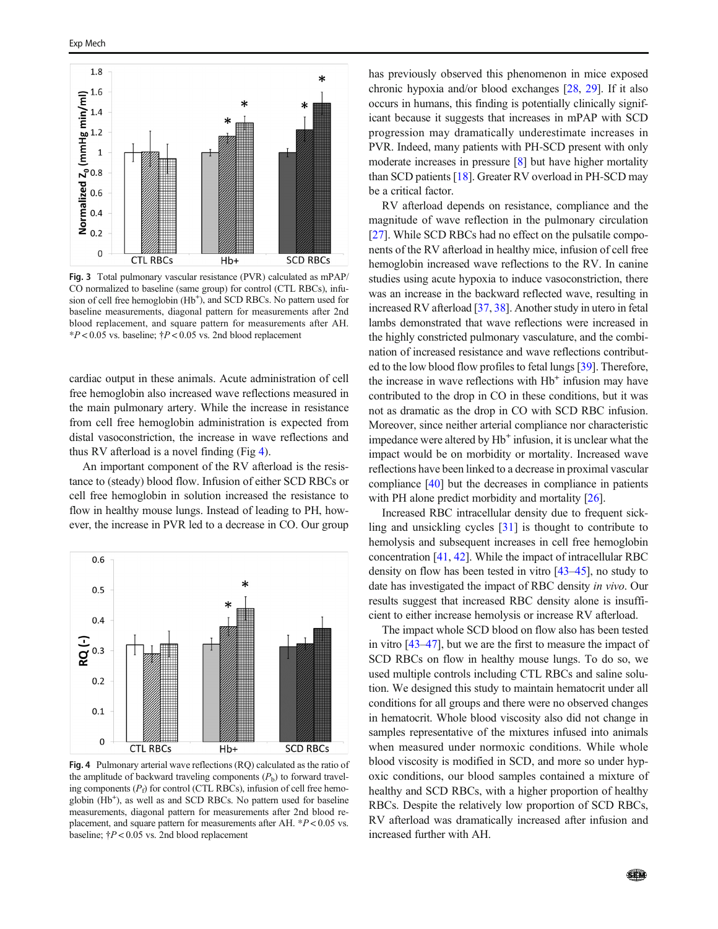

Fig. 3 Total pulmonary vascular resistance (PVR) calculated as mPAP/ CO normalized to baseline (same group) for control (CTL RBCs), infusion of cell free hemoglobin (Hb<sup>+</sup>), and SCD RBCs. No pattern used for baseline measurements, diagonal pattern for measurements after 2nd blood replacement, and square pattern for measurements after AH.  $*P < 0.05$  vs. baseline;  $\dagger P < 0.05$  vs. 2nd blood replacement

cardiac output in these animals. Acute administration of cell free hemoglobin also increased wave reflections measured in the main pulmonary artery. While the increase in resistance from cell free hemoglobin administration is expected from distal vasoconstriction, the increase in wave reflections and thus RV afterload is a novel finding (Fig 4).

An important component of the RV afterload is the resistance to (steady) blood flow. Infusion of either SCD RBCs or cell free hemoglobin in solution increased the resistance to flow in healthy mouse lungs. Instead of leading to PH, however, the increase in PVR led to a decrease in CO. Our group



Fig. 4 Pulmonary arterial wave reflections (RQ) calculated as the ratio of the amplitude of backward traveling components  $(P_b)$  to forward traveling components  $(P_f)$  for control (CTL RBCs), infusion of cell free hemoglobin (Hb<sup>+</sup>), as well as and SCD RBCs. No pattern used for baseline measurements, diagonal pattern for measurements after 2nd blood replacement, and square pattern for measurements after AH.  $*P < 0.05$  vs. baseline;  $\dagger P < 0.05$  vs. 2nd blood replacement

has previously observed this phenomenon in mice exposed chronic hypoxia and/or blood exchanges [28, 29]. If it also occurs in humans, this finding is potentially clinically significant because it suggests that increases in mPAP with SCD progression may dramatically underestimate increases in PVR. Indeed, many patients with PH-SCD present with only moderate increases in pressure [8] but have higher mortality than SCD patients [18]. Greater RV overload in PH-SCD may be a critical factor.

RV afterload depends on resistance, compliance and the magnitude of wave reflection in the pulmonary circulation [27]. While SCD RBCs had no effect on the pulsatile components of the RV afterload in healthy mice, infusion of cell free hemoglobin increased wave reflections to the RV. In canine studies using acute hypoxia to induce vasoconstriction, there was an increase in the backward reflected wave, resulting in increased RV afterload [37, 38]. Another study in utero in fetal lambs demonstrated that wave reflections were increased in the highly constricted pulmonary vasculature, and the combination of increased resistance and wave reflections contributed to the low blood flow profiles to fetal lungs [39]. Therefore, the increase in wave reflections with Hb<sup>+</sup> infusion may have contributed to the drop in CO in these conditions, but it was not as dramatic as the drop in CO with SCD RBC infusion. Moreover, since neither arterial compliance nor characteristic impedance were altered by Hb<sup>+</sup> infusion, it is unclear what the impact would be on morbidity or mortality. Increased wave reflections have been linked to a decrease in proximal vascular compliance [40] but the decreases in compliance in patients with PH alone predict morbidity and mortality [26].

Increased RBC intracellular density due to frequent sickling and unsickling cycles [31] is thought to contribute to hemolysis and subsequent increases in cell free hemoglobin concentration [41, 42]. While the impact of intracellular RBC density on flow has been tested in vitro [43–45], no study to date has investigated the impact of RBC density in vivo. Our results suggest that increased RBC density alone is insufficient to either increase hemolysis or increase RV afterload.

The impact whole SCD blood on flow also has been tested in vitro [43–47], but we are the first to measure the impact of SCD RBCs on flow in healthy mouse lungs. To do so, we used multiple controls including CTL RBCs and saline solution. We designed this study to maintain hematocrit under all conditions for all groups and there were no observed changes in hematocrit. Whole blood viscosity also did not change in samples representative of the mixtures infused into animals when measured under normoxic conditions. While whole blood viscosity is modified in SCD, and more so under hypoxic conditions, our blood samples contained a mixture of healthy and SCD RBCs, with a higher proportion of healthy RBCs. Despite the relatively low proportion of SCD RBCs, RV afterload was dramatically increased after infusion and increased further with AH.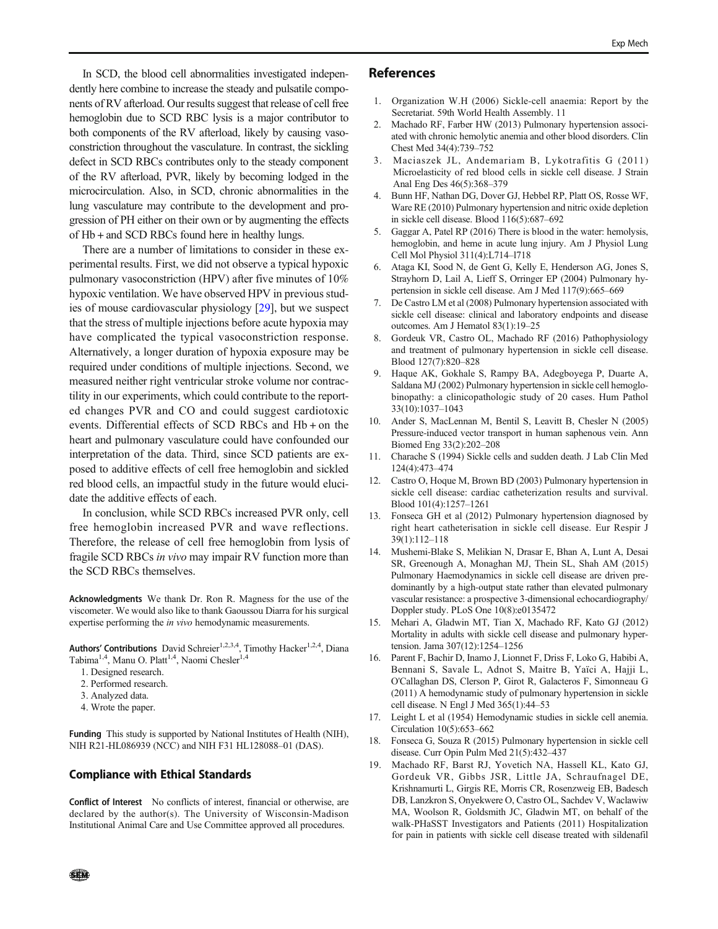In SCD, the blood cell abnormalities investigated independently here combine to increase the steady and pulsatile components of RV afterload. Our results suggest that release of cell free hemoglobin due to SCD RBC lysis is a major contributor to both components of the RV afterload, likely by causing vasoconstriction throughout the vasculature. In contrast, the sickling defect in SCD RBCs contributes only to the steady component of the RV afterload, PVR, likely by becoming lodged in the microcirculation. Also, in SCD, chronic abnormalities in the lung vasculature may contribute to the development and progression of PH either on their own or by augmenting the effects of Hb + and SCD RBCs found here in healthy lungs.

There are a number of limitations to consider in these experimental results. First, we did not observe a typical hypoxic pulmonary vasoconstriction (HPV) after five minutes of 10% hypoxic ventilation. We have observed HPV in previous studies of mouse cardiovascular physiology [29], but we suspect that the stress of multiple injections before acute hypoxia may have complicated the typical vasoconstriction response. Alternatively, a longer duration of hypoxia exposure may be required under conditions of multiple injections. Second, we measured neither right ventricular stroke volume nor contractility in our experiments, which could contribute to the reported changes PVR and CO and could suggest cardiotoxic events. Differential effects of SCD RBCs and Hb + on the heart and pulmonary vasculature could have confounded our interpretation of the data. Third, since SCD patients are exposed to additive effects of cell free hemoglobin and sickled red blood cells, an impactful study in the future would elucidate the additive effects of each.

In conclusion, while SCD RBCs increased PVR only, cell free hemoglobin increased PVR and wave reflections. Therefore, the release of cell free hemoglobin from lysis of fragile SCD RBCs in vivo may impair RV function more than the SCD RBCs themselves.

Acknowledgments We thank Dr. Ron R. Magness for the use of the viscometer. We would also like to thank Gaoussou Diarra for his surgical expertise performing the *in vivo* hemodynamic measurements.

Authors' Contributions David Schreier<sup>1,2,3,4</sup>, Timothy Hacker<sup>1,2,4</sup>, Diana Tabima<sup>1,4</sup>, Manu O. Platt<sup>1,4</sup>, Naomi Chesler<sup>1,4</sup>

- 1. Designed research.
- 2. Performed research.
- 3. Analyzed data.
- 4. Wrote the paper.

Funding This study is supported by National Institutes of Health (NIH), NIH R21-HL086939 (NCC) and NIH F31 HL128088–01 (DAS).

#### Compliance with Ethical Standards

Conflict of Interest No conflicts of interest, financial or otherwise, are declared by the author(s). The University of Wisconsin-Madison Institutional Animal Care and Use Committee approved all procedures.

#### References

- 1. Organization W.H (2006) Sickle-cell anaemia: Report by the Secretariat. 59th World Health Assembly. 11
- 2. Machado RF, Farber HW (2013) Pulmonary hypertension associated with chronic hemolytic anemia and other blood disorders. Clin Chest Med 34(4):739–752
- 3. Maciaszek JL, Andemariam B, Lykotrafitis G (2011) Microelasticity of red blood cells in sickle cell disease. J Strain Anal Eng Des 46(5):368–379
- 4. Bunn HF, Nathan DG, Dover GJ, Hebbel RP, Platt OS, Rosse WF, Ware RE (2010) Pulmonary hypertension and nitric oxide depletion in sickle cell disease. Blood 116(5):687–692
- 5. Gaggar A, Patel RP (2016) There is blood in the water: hemolysis, hemoglobin, and heme in acute lung injury. Am J Physiol Lung Cell Mol Physiol 311(4):L714–l718
- 6. Ataga KI, Sood N, de Gent G, Kelly E, Henderson AG, Jones S, Strayhorn D, Lail A, Lieff S, Orringer EP (2004) Pulmonary hypertension in sickle cell disease. Am J Med 117(9):665–669
- De Castro LM et al (2008) Pulmonary hypertension associated with sickle cell disease: clinical and laboratory endpoints and disease outcomes. Am J Hematol 83(1):19–25
- 8. Gordeuk VR, Castro OL, Machado RF (2016) Pathophysiology and treatment of pulmonary hypertension in sickle cell disease. Blood 127(7):820–828
- 9. Haque AK, Gokhale S, Rampy BA, Adegboyega P, Duarte A, Saldana MJ (2002) Pulmonary hypertension in sickle cell hemoglobinopathy: a clinicopathologic study of 20 cases. Hum Pathol 33(10):1037–1043
- 10. Ander S, MacLennan M, Bentil S, Leavitt B, Chesler N (2005) Pressure-induced vector transport in human saphenous vein. Ann Biomed Eng 33(2):202–208
- 11. Charache S (1994) Sickle cells and sudden death. J Lab Clin Med 124(4):473–474
- 12. Castro O, Hoque M, Brown BD (2003) Pulmonary hypertension in sickle cell disease: cardiac catheterization results and survival. Blood 101(4):1257–1261
- 13. Fonseca GH et al (2012) Pulmonary hypertension diagnosed by right heart catheterisation in sickle cell disease. Eur Respir J 39(1):112–118
- 14. Mushemi-Blake S, Melikian N, Drasar E, Bhan A, Lunt A, Desai SR, Greenough A, Monaghan MJ, Thein SL, Shah AM (2015) Pulmonary Haemodynamics in sickle cell disease are driven predominantly by a high-output state rather than elevated pulmonary vascular resistance: a prospective 3-dimensional echocardiography/ Doppler study. PLoS One 10(8):e0135472
- 15. Mehari A, Gladwin MT, Tian X, Machado RF, Kato GJ (2012) Mortality in adults with sickle cell disease and pulmonary hypertension. Jama 307(12):1254–1256
- 16. Parent F, Bachir D, Inamo J, Lionnet F, Driss F, Loko G, Habibi A, Bennani S, Savale L, Adnot S, Maitre B, Yaïci A, Hajji L, O'Callaghan DS, Clerson P, Girot R, Galacteros F, Simonneau G (2011) A hemodynamic study of pulmonary hypertension in sickle cell disease. N Engl J Med 365(1):44–53
- 17. Leight L et al (1954) Hemodynamic studies in sickle cell anemia. Circulation 10(5):653–662
- 18. Fonseca G, Souza R (2015) Pulmonary hypertension in sickle cell disease. Curr Opin Pulm Med 21(5):432–437
- 19. Machado RF, Barst RJ, Yovetich NA, Hassell KL, Kato GJ, Gordeuk VR, Gibbs JSR, Little JA, Schraufnagel DE, Krishnamurti L, Girgis RE, Morris CR, Rosenzweig EB, Badesch DB, Lanzkron S, Onyekwere O, Castro OL, Sachdev V, Waclawiw MA, Woolson R, Goldsmith JC, Gladwin MT, on behalf of the walk-PHaSST Investigators and Patients (2011) Hospitalization for pain in patients with sickle cell disease treated with sildenafil